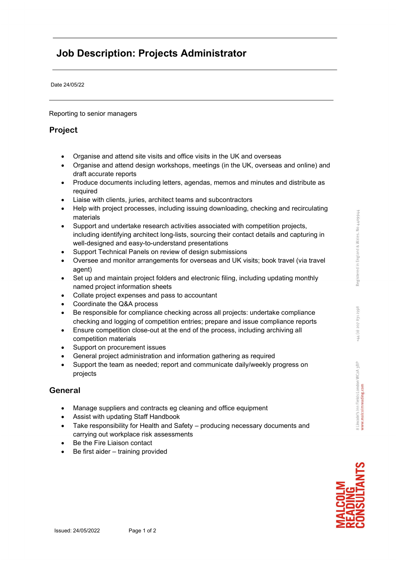2078312998

 $\frac{1}{2}$  $+44$ 

3 Lincoln's Inn Fields London WC2A 3BP ww.malcolmreading.com

Date 24/05/22

Reporting to senior managers

## Project

- Organise and attend site visits and office visits in the UK and overseas
- Organise and attend design workshops, meetings (in the UK, overseas and online) and draft accurate reports
- Produce documents including letters, agendas, memos and minutes and distribute as required
- Liaise with clients, juries, architect teams and subcontractors
- Help with project processes, including issuing downloading, checking and recirculating materials
- Support and undertake research activities associated with competition projects, including identifying architect long-lists, sourcing their contact details and capturing in well-designed and easy-to-understand presentations
- Support Technical Panels on review of design submissions
- Oversee and monitor arrangements for overseas and UK visits; book travel (via travel agent)
- Set up and maintain project folders and electronic filing, including updating monthly named project information sheets
- Collate project expenses and pass to accountant
- Coordinate the Q&A process
- Be responsible for compliance checking across all projects: undertake compliance checking and logging of competition entries; prepare and issue compliance reports
- Ensure competition close-out at the end of the process, including archiving all competition materials
- Support on procurement issues
- General project administration and information gathering as required
- Support the team as needed; report and communicate daily/weekly progress on projects

## General

- Manage suppliers and contracts eg cleaning and office equipment
- Assist with updating Staff Handbook
- Take responsibility for Health and Safety producing necessary documents and carrying out workplace risk assessments
- Be the Fire Liaison contact
- Be first aider training provided